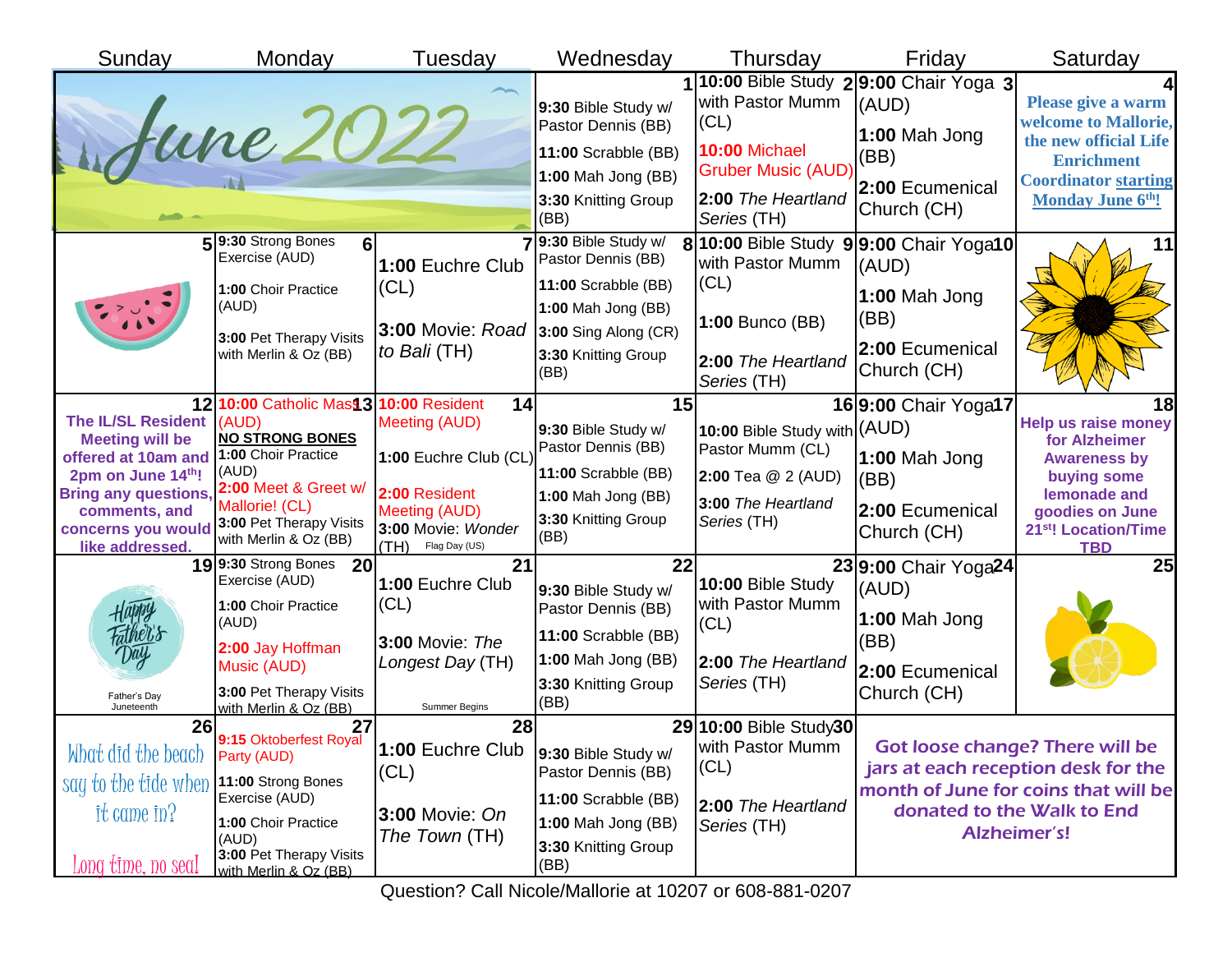| Sunday                                                                                                                                                                                  | Monday                                                                                                                                                                                          | Tuesday                                                                                                                       | Wednesday                                                                                                                                     | Thursday                                                                                                    | Friday                                                                                                      | Saturday                                                                                                                                                                     |
|-----------------------------------------------------------------------------------------------------------------------------------------------------------------------------------------|-------------------------------------------------------------------------------------------------------------------------------------------------------------------------------------------------|-------------------------------------------------------------------------------------------------------------------------------|-----------------------------------------------------------------------------------------------------------------------------------------------|-------------------------------------------------------------------------------------------------------------|-------------------------------------------------------------------------------------------------------------|------------------------------------------------------------------------------------------------------------------------------------------------------------------------------|
|                                                                                                                                                                                         | June 202                                                                                                                                                                                        |                                                                                                                               | 9:30 Bible Study w/<br>Pastor Dennis (BB)<br>11:00 Scrabble (BB)<br>1:00 Mah Jong (BB)<br>3:30 Knitting Group<br>(BB)                         | with Pastor Mumm<br>(CL)<br>10:00 Michael<br><b>Gruber Music (AUD</b><br>2:00 The Heartland<br>Series (TH)  | 10:00 Bible Study 29:00 Chair Yoga 3<br>(AUD)<br>1:00 Mah Jong<br>(BB)<br>2:00 Ecumenical<br>Church (CH)    | Please give a warm<br>welcome to Mallorie,<br>the new official Life<br><b>Enrichment</b><br><b>Coordinator starting</b><br><b>Monday June 6th!</b>                           |
|                                                                                                                                                                                         | 59:30 Strong Bones<br>61<br>Exercise (AUD)<br>1:00 Choir Practice<br>(AUD)<br>3:00 Pet Therapy Visits<br>with Merlin & Oz (BB)                                                                  | 1:00 Euchre Club<br>(CL)<br>3:00 Movie: Road<br>to Bali (TH)                                                                  | 9:30 Bible Study w/<br>Pastor Dennis (BB)<br>11:00 Scrabble (BB)<br>1:00 Mah Jong (BB)<br>3:00 Sing Along (CR)<br>3:30 Knitting Group<br>(BB) | with Pastor Mumm<br>(CL)<br>1:00 Bunco (BB)<br>2:00 The Heartland<br>Series (TH)                            | 8 10:00 Bible Study 9 9:00 Chair Yoga10<br>(AUD)<br>1:00 Mah Jong<br>(BB)<br>2:00 Ecumenical<br>Church (CH) | 11                                                                                                                                                                           |
| The IL/SL Resident (AUD)<br><b>Meeting will be</b><br>offered at 10am and<br>2pm on June 14th!<br><b>Bring any questions,</b><br>comments, and<br>concerns you would<br>like addressed. | 12 10:00 Catholic Mass 3 10:00 Resident<br><b>NO STRONG BONES</b><br>1:00 Choir Practice<br>(AUD)<br>2:00 Meet & Greet w/<br>Mallorie! (CL)<br>3:00 Pet Therapy Visits<br>with Merlin & Oz (BB) | 14<br>Meeting (AUD)<br>1:00 Euchre Club (CL)<br>2:00 Resident<br>Meeting (AUD)<br>3:00 Movie: Wonder<br>(HT)<br>Flag Day (US) | 15<br>9:30 Bible Study w/<br>Pastor Dennis (BB)<br>11:00 Scrabble (BB)<br>1:00 Mah Jong (BB)<br>3:30 Knitting Group<br>(BB)                   | 10:00 Bible Study with (AUD)<br>Pastor Mumm (CL)<br>2:00 Tea @ 2 (AUD)<br>3:00 The Heartland<br>Series (TH) | 16 9:00 Chair Yoga17<br>1:00 Mah Jong<br>(BB)<br>2:00 Ecumenical<br>Church (CH)                             | 18<br><b>Help us raise money</b><br>for Alzheimer<br><b>Awareness by</b><br>buying some<br>lemonade and<br>goodies on June<br>21 <sup>st</sup> ! Location/Time<br><b>TBD</b> |
| Fathe <u>r'</u> s<br>Day<br>Father's Day<br>Juneteenth                                                                                                                                  | 199:30 Strong Bones 20<br>Exercise (AUD)<br>1:00 Choir Practice<br>(AUD)<br>2:00 Jay Hoffman<br>Music (AUD)<br>3:00 Pet Therapy Visits<br>with Merlin & Oz (BB)                                 | 21<br>1:00 Euchre Club<br>(CL)<br><b>3:00 Movie: The</b><br>Longest Day (TH)<br>Summer Begins                                 | 22<br>9:30 Bible Study w/<br>Pastor Dennis (BB)<br>11:00 Scrabble (BB)<br>1:00 Mah Jong (BB)<br>3:30 Knitting Group<br>(BB)                   | 10:00 Bible Study<br>with Pastor Mumm<br>(CL)<br>2:00 The Heartland<br>Series (TH)                          | 23 9:00 Chair Yoga24<br>(AUD)<br>1:00 Mah Jong<br>(BB)<br>2:00 Ecumenical<br>Church (CH)                    | 25                                                                                                                                                                           |
| 26<br>What did the beach<br>say to the tide when<br>$it$ came $in$ ?<br>Long time, no seal                                                                                              | 27<br>9:15 Oktoberfest Royal<br>Party (AUD)<br>11:00 Strong Bones<br>Exercise (AUD)<br>1:00 Choir Practice<br>(AUD)<br>3:00 Pet Therapy Visits<br>with Merlin & Oz (BB)                         | 28<br>1:00 Euchre Club<br>(CL)<br>3:00 Movie: On<br>The Town (TH)                                                             | 9:30 Bible Study w/<br>Pastor Dennis (BB)<br>11:00 Scrabble (BB)<br>1:00 Mah Jong (BB)<br>3:30 Knitting Group<br>(BB)                         | 29 10:00 Bible Study30<br>with Pastor Mumm<br>(CL)<br>2:00 The Heartland<br>Series (TH)                     |                                                                                                             | <b>Got loose change? There will be</b><br>jars at each reception desk for the<br>month of June for coins that will be<br>donated to the Walk to End<br><b>Alzheimer's!</b>   |

Question? Call Nicole/Mallorie at 10207 or 608-881-0207